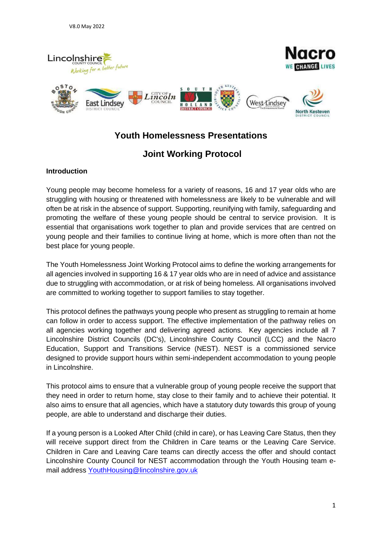

# **Youth Homelessness Presentations**

# **Joint Working Protocol**

## **Introduction**

Young people may become homeless for a variety of reasons, 16 and 17 year olds who are struggling with housing or threatened with homelessness are likely to be vulnerable and will often be at risk in the absence of support. Supporting, reunifying with family, safeguarding and promoting the welfare of these young people should be central to service provision. It is essential that organisations work together to plan and provide services that are centred on young people and their families to continue living at home, which is more often than not the best place for young people.

The Youth Homelessness Joint Working Protocol aims to define the working arrangements for all agencies involved in supporting 16 & 17 year olds who are in need of advice and assistance due to struggling with accommodation, or at risk of being homeless. All organisations involved are committed to working together to support families to stay together.

This protocol defines the pathways young people who present as struggling to remain at home can follow in order to access support. The effective implementation of the pathway relies on all agencies working together and delivering agreed actions. Key agencies include all 7 Lincolnshire District Councils (DC's), Lincolnshire County Council (LCC) and the Nacro Education, Support and Transitions Service (NEST). NEST is a commissioned service designed to provide support hours within semi-independent accommodation to young people in Lincolnshire.

This protocol aims to ensure that a vulnerable group of young people receive the support that they need in order to return home, stay close to their family and to achieve their potential. It also aims to ensure that all agencies, which have a statutory duty towards this group of young people, are able to understand and discharge their duties.

If a young person is a Looked After Child (child in care), or has Leaving Care Status, then they will receive support direct from the Children in Care teams or the Leaving Care Service. Children in Care and Leaving Care teams can directly access the offer and should contact Lincolnshire County Council for NEST accommodation through the Youth Housing team email address [YouthHousing@lincolnshire.gov.uk](mailto:YouthHousing@lincolnshire.gov.uk)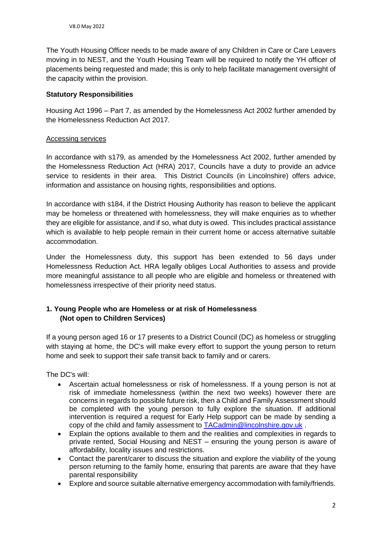The Youth Housing Officer needs to be made aware of any Children in Care or Care Leavers moving in to NEST, and the Youth Housing Team will be required to notify the YH officer of placements being requested and made; this is only to help facilitate management oversight of the capacity within the provision.

### **Statutory Responsibilities**

Housing Act 1996 – Part 7, as amended by the Homelessness Act 2002 further amended by the Homelessness Reduction Act 2017.

### Accessing services

In accordance with s179, as amended by the Homelessness Act 2002, further amended by the Homelessness Reduction Act (HRA) 2017, Councils have a duty to provide an advice service to residents in their area. This District Councils (in Lincolnshire) offers advice, information and assistance on housing rights, responsibilities and options.

In accordance with s184, if the District Housing Authority has reason to believe the applicant may be homeless or threatened with homelessness, they will make enquiries as to whether they are eligible for assistance, and if so, what duty is owed. This includes practical assistance which is available to help people remain in their current home or access alternative suitable accommodation.

Under the Homelessness duty, this support has been extended to 56 days under Homelessness Reduction Act. HRA legally obliges Local Authorities to assess and provide more meaningful assistance to all people who are eligible and homeless or threatened with homelessness irrespective of their priority need status.

## **1. Young People who are Homeless or at risk of Homelessness (Not open to Children Services)**

If a young person aged 16 or 17 presents to a District Council (DC) as homeless or struggling with staying at home, the DC's will make every effort to support the young person to return home and seek to support their safe transit back to family and or carers.

The DC's will:

- Ascertain actual homelessness or risk of homelessness. If a young person is not at risk of immediate homelessness (within the next two weeks) however there are concerns in regards to possible future risk, then a Child and Family Assessment should be completed with the young person to fully explore the situation. If additional intervention is required a request for Early Help support can be made by sending a copy of the child and family assessment to [TACadmin@lincolnshire.gov.uk](mailto:TACadmin@lincolnshire.gov.uk) .
- Explain the options available to them and the realities and complexities in regards to private rented, Social Housing and NEST – ensuring the young person is aware of affordability, locality issues and restrictions.
- Contact the parent/carer to discuss the situation and explore the viability of the young person returning to the family home, ensuring that parents are aware that they have parental responsibility
- Explore and source suitable alternative emergency accommodation with family/friends.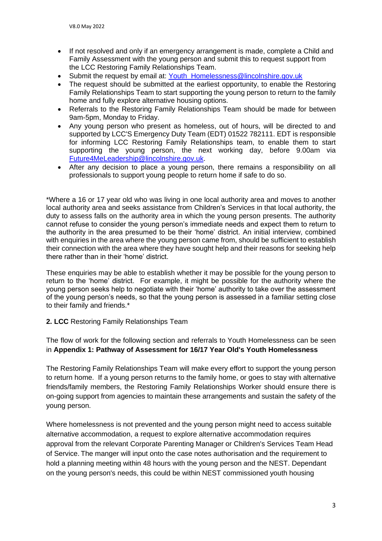- If not resolved and only if an emergency arrangement is made, complete a Child and Family Assessment with the young person and submit this to request support from the LCC Restoring Family Relationships Team.
- Submit the request by email at: [Youth\\_Homelessness@lincolnshire.gov.uk](mailto:Youth_Homelessness@lincolnshire.gov.uk)
- The request should be submitted at the earliest opportunity, to enable the Restoring Family Relationships Team to start supporting the young person to return to the family home and fully explore alternative housing options.
- Referrals to the Restoring Family Relationships Team should be made for between 9am-5pm, Monday to Friday.
- Any young person who present as homeless, out of hours, will be directed to and supported by LCC'S Emergency Duty Team (EDT) 01522 782111. EDT is responsible for informing LCC Restoring Family Relationships team, to enable them to start supporting the young person, the next working day, before 9.00am via [Future4MeLeadership@lincolnshire.gov.uk.](mailto:Future4MeLeadership@lincolnshire.gov.uk)
- After any decision to place a young person, there remains a responsibility on all professionals to support young people to return home if safe to do so.

\*Where a 16 or 17 year old who was living in one local authority area and moves to another local authority area and seeks assistance from Children's Services in that local authority, the duty to assess falls on the authority area in which the young person presents. The authority cannot refuse to consider the young person's immediate needs and expect them to return to the authority in the area presumed to be their 'home' district. An initial interview, combined with enquiries in the area where the young person came from, should be sufficient to establish their connection with the area where they have sought help and their reasons for seeking help there rather than in their 'home' district.

These enquiries may be able to establish whether it may be possible for the young person to return to the 'home' district. For example, it might be possible for the authority where the young person seeks help to negotiate with their 'home' authority to take over the assessment of the young person's needs, so that the young person is assessed in a familiar setting close to their family and friends.\*

### **2. LCC** Restoring Family Relationships Team

The flow of work for the following section and referrals to Youth Homelessness can be seen in **Appendix 1: Pathway of Assessment for 16/17 Year Old's Youth Homelessness**

The Restoring Family Relationships Team will make every effort to support the young person to return home. If a young person returns to the family home, or goes to stay with alternative friends/family members, the Restoring Family Relationships Worker should ensure there is on-going support from agencies to maintain these arrangements and sustain the safety of the young person.

Where homelessness is not prevented and the young person might need to access suitable alternative accommodation, a request to explore alternative accommodation requires approval from the relevant Corporate Parenting Manager or Children's Services Team Head of Service. The manger will input onto the case notes authorisation and the requirement to hold a planning meeting within 48 hours with the young person and the NEST. Dependant on the young person's needs, this could be within NEST commissioned youth housing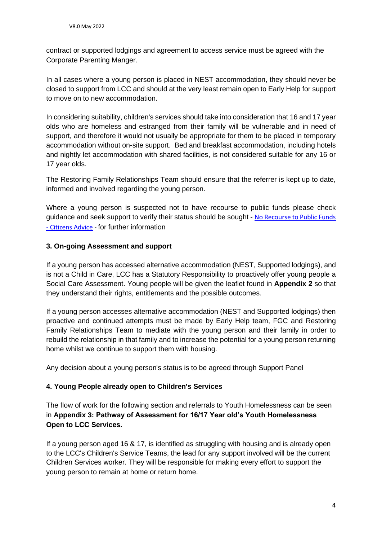contract or supported lodgings and agreement to access service must be agreed with the Corporate Parenting Manger.

In all cases where a young person is placed in NEST accommodation, they should never be closed to support from LCC and should at the very least remain open to Early Help for support to move on to new accommodation.

In considering suitability, children's services should take into consideration that 16 and 17 year olds who are homeless and estranged from their family will be vulnerable and in need of support, and therefore it would not usually be appropriate for them to be placed in temporary accommodation without on-site support. Bed and breakfast accommodation, including hotels and nightly let accommodation with shared facilities, is not considered suitable for any 16 or 17 year olds.

The Restoring Family Relationships Team should ensure that the referrer is kept up to date, informed and involved regarding the young person.

Where a young person is suspected not to have recourse to public funds please check guidance and seek support to verify their status should be sought - [No Recourse to Public Funds](https://www.citizensadvice.org.uk/about-us/our-work/our-campaigns/policy-campaigns/no-recourse-to-public-funds/)  - [Citizens Advice](https://www.citizensadvice.org.uk/about-us/our-work/our-campaigns/policy-campaigns/no-recourse-to-public-funds/) - for further information

### **3. On-going Assessment and support**

If a young person has accessed alternative accommodation (NEST, Supported lodgings), and is not a Child in Care, LCC has a Statutory Responsibility to proactively offer young people a Social Care Assessment. Young people will be given the leaflet found in **Appendix 2** so that they understand their rights, entitlements and the possible outcomes.

If a young person accesses alternative accommodation (NEST and Supported lodgings) then proactive and continued attempts must be made by Early Help team, FGC and Restoring Family Relationships Team to mediate with the young person and their family in order to rebuild the relationship in that family and to increase the potential for a young person returning home whilst we continue to support them with housing.

Any decision about a young person's status is to be agreed through Support Panel

### **4. Young People already open to Children's Services**

The flow of work for the following section and referrals to Youth Homelessness can be seen in **Appendix 3: Pathway of Assessment for 16/17 Year old's Youth Homelessness Open to LCC Services.**

If a young person aged 16 & 17, is identified as struggling with housing and is already open to the LCC's Children's Service Teams, the lead for any support involved will be the current Children Services worker. They will be responsible for making every effort to support the young person to remain at home or return home.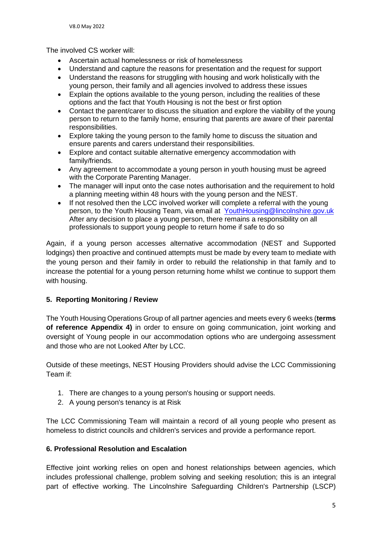The involved CS worker will:

- Ascertain actual homelessness or risk of homelessness
- Understand and capture the reasons for presentation and the request for support
- Understand the reasons for struggling with housing and work holistically with the young person, their family and all agencies involved to address these issues
- Explain the options available to the young person, including the realities of these options and the fact that Youth Housing is not the best or first option
- Contact the parent/carer to discuss the situation and explore the viability of the young person to return to the family home, ensuring that parents are aware of their parental responsibilities.
- Explore taking the young person to the family home to discuss the situation and ensure parents and carers understand their responsibilities.
- Explore and contact suitable alternative emergency accommodation with family/friends.
- Any agreement to accommodate a young person in youth housing must be agreed with the Corporate Parenting Manager.
- The manager will input onto the case notes authorisation and the requirement to hold a planning meeting within 48 hours with the young person and the NEST.
- If not resolved then the LCC involved worker will complete a referral with the young person, to the Youth Housing Team, via email at [YouthHousing@lincolnshire.gov.uk](mailto:YouthHousing@lincolnshire.gov.uk) After any decision to place a young person, there remains a responsibility on all professionals to support young people to return home if safe to do so

Again, if a young person accesses alternative accommodation (NEST and Supported lodgings) then proactive and continued attempts must be made by every team to mediate with the young person and their family in order to rebuild the relationship in that family and to increase the potential for a young person returning home whilst we continue to support them with housing.

## **5. Reporting Monitoring / Review**

The Youth Housing Operations Group of all partner agencies and meets every 6 weeks (**terms of reference Appendix 4)** in order to ensure on going communication, joint working and oversight of Young people in our accommodation options who are undergoing assessment and those who are not Looked After by LCC.

Outside of these meetings, NEST Housing Providers should advise the LCC Commissioning Team if:

- 1. There are changes to a young person's housing or support needs.
- 2. A young person's tenancy is at Risk

The LCC Commissioning Team will maintain a record of all young people who present as homeless to district councils and children's services and provide a performance report.

## **6. Professional Resolution and Escalation**

Effective joint working relies on open and honest relationships between agencies, which includes professional challenge, problem solving and seeking resolution; this is an integral part of effective working. The Lincolnshire Safeguarding Children's Partnership (LSCP)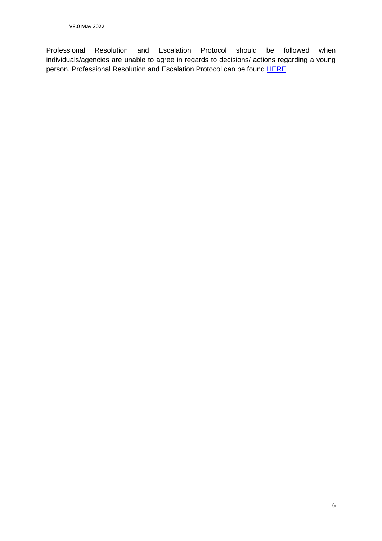Professional Resolution and Escalation Protocol should be followed when individuals/agencies are unable to agree in regards to decisions/ actions regarding a young person. Professional Resolution and Escalation Protocol can be found [HERE](https://lincolnshirescb.proceduresonline.com/chapters/pr_prof_resolution.html)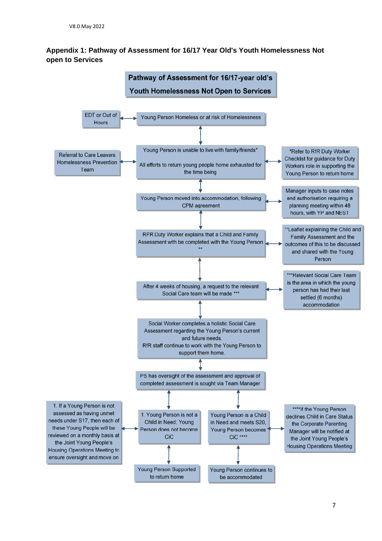## **Appendix 1: Pathway of Assessment for 16/17 Year Old's Youth Homelessness Not open to Services**

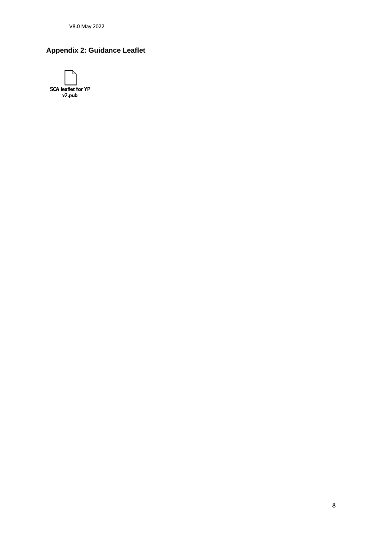V8.0 May 2022

## **Appendix 2: Guidance Leaflet**

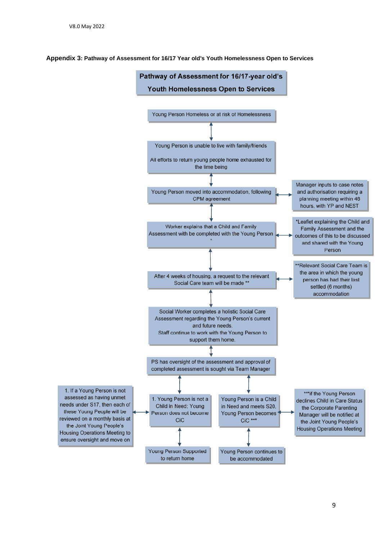#### **Appendix 3: Pathway of Assessment for 16/17 Year old's Youth Homelessness Open to Services**

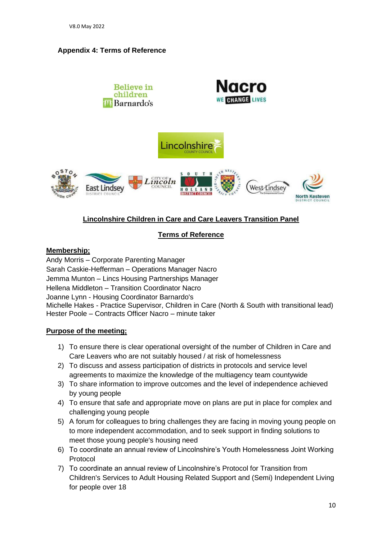## **Appendix 4: Terms of Reference**



## **Lincolnshire Children in Care and Care Leavers Transition Panel**

## **Terms of Reference**

### **Membership;**

Andy Morris – Corporate Parenting Manager Sarah Caskie-Hefferman – Operations Manager Nacro Jemma Munton – Lincs Housing Partnerships Manager Hellena Middleton – Transition Coordinator Nacro Joanne Lynn - Housing Coordinator Barnardo's Michelle Hakes - Practice Supervisor, Children in Care (North & South with transitional lead) Hester Poole – Contracts Officer Nacro – minute taker

## **Purpose of the meeting;**

- 1) To ensure there is clear operational oversight of the number of Children in Care and Care Leavers who are not suitably housed / at risk of homelessness
- 2) To discuss and assess participation of districts in protocols and service level agreements to maximize the knowledge of the multiagency team countywide
- 3) To share information to improve outcomes and the level of independence achieved by young people
- 4) To ensure that safe and appropriate move on plans are put in place for complex and challenging young people
- 5) A forum for colleagues to bring challenges they are facing in moving young people on to more independent accommodation, and to seek support in finding solutions to meet those young people's housing need
- 6) To coordinate an annual review of Lincolnshire's Youth Homelessness Joint Working Protocol
- 7) To coordinate an annual review of Lincolnshire's Protocol for Transition from Children's Services to Adult Housing Related Support and (Semi) Independent Living for people over 18